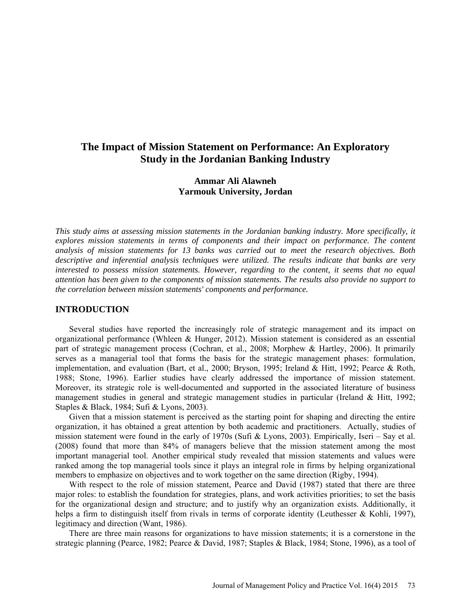# **The Impact of Mission Statement on Performance: An Exploratory Study in the Jordanian Banking Industry**

## **Ammar Ali Alawneh Yarmouk University, Jordan**

*This study aims at assessing mission statements in the Jordanian banking industry. More specifically, it explores mission statements in terms of components and their impact on performance. The content analysis of mission statements for 13 banks was carried out to meet the research objectives. Both descriptive and inferential analysis techniques were utilized. The results indicate that banks are very interested to possess mission statements. However, regarding to the content, it seems that no equal attention has been given to the components of mission statements. The results also provide no support to the correlation between mission statements' components and performance.*

## **INTRODUCTION**

Several studies have reported the increasingly role of strategic management and its impact on organizational performance (Whleen & Hunger, 2012). Mission statement is considered as an essential part of strategic management process (Cochran, et al., 2008; Morphew & Hartley, 2006). It primarily serves as a managerial tool that forms the basis for the strategic management phases: formulation, implementation, and evaluation (Bart, et al., 2000; Bryson, 1995; Ireland & Hitt, 1992; Pearce & Roth, 1988; Stone, 1996). Earlier studies have clearly addressed the importance of mission statement. Moreover, its strategic role is well-documented and supported in the associated literature of business management studies in general and strategic management studies in particular (Ireland & Hitt, 1992; Staples & Black, 1984; Sufi & Lyons, 2003).

Given that a mission statement is perceived as the starting point for shaping and directing the entire organization, it has obtained a great attention by both academic and practitioners. Actually, studies of mission statement were found in the early of 1970s (Sufi & Lyons, 2003). Empirically, Iseri – Say et al. (2008) found that more than 84% of managers believe that the mission statement among the most important managerial tool. Another empirical study revealed that mission statements and values were ranked among the top managerial tools since it plays an integral role in firms by helping organizational members to emphasize on objectives and to work together on the same direction (Rigby, 1994).

With respect to the role of mission statement, Pearce and David (1987) stated that there are three major roles: to establish the foundation for strategies, plans, and work activities priorities; to set the basis for the organizational design and structure; and to justify why an organization exists. Additionally, it helps a firm to distinguish itself from rivals in terms of corporate identity (Leuthesser & Kohli, 1997), legitimacy and direction (Want, 1986).

There are three main reasons for organizations to have mission statements; it is a cornerstone in the strategic planning (Pearce, 1982; Pearce & David, 1987; Staples & Black, 1984; Stone, 1996), as a tool of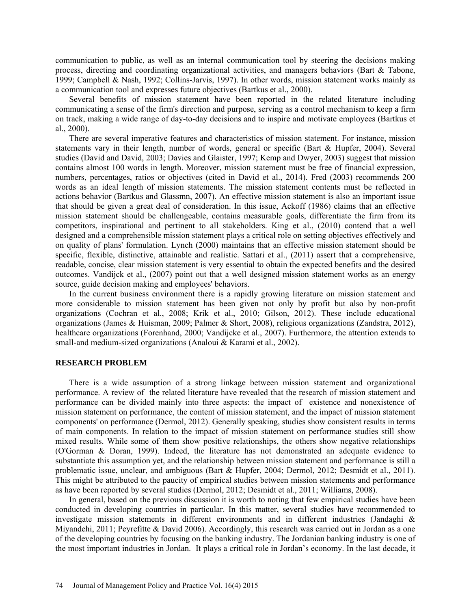communication to public, as well as an internal communication tool by steering the decisions making process, directing and coordinating organizational activities, and managers behaviors (Bart & Tabone, 1999; Campbell & Nash, 1992; Collins-Jarvis, 1997). In other words, mission statement works mainly as a communication tool and expresses future objectives (Bartkus et al., 2000).

Several benefits of mission statement have been reported in the related literature including communicating a sense of the firm's direction and purpose, serving as a control mechanism to keep a firm on track, making a wide range of day-to-day decisions and to inspire and motivate employees (Bartkus et al., 2000).

There are several imperative features and characteristics of mission statement. For instance, mission statements vary in their length, number of words, general or specific (Bart & Hupfer, 2004). Several studies (David and David, 2003; Davies and Glaister, 1997; Kemp and Dwyer, 2003) suggest that mission contains almost 100 words in length. Moreover, mission statement must be free of financial expression, numbers, percentages, ratios or objectives (cited in David et al., 2014). Fred (2003) recommends 200 words as an ideal length of mission statements. The mission statement contents must be reflected in actions behavior (Bartkus and Glassmn, 2007). An effective mission statement is also an important issue that should be given a great deal of consideration. In this issue, Ackoff (1986) claims that an effective mission statement should be challengeable, contains measurable goals, differentiate the firm from its competitors, inspirational and pertinent to all stakeholders. King et al., (2010) contend that a well designed and a comprehensible mission statement plays a critical role on setting objectives effectively and on quality of plans' formulation. Lynch (2000) maintains that an effective mission statement should be specific, flexible, distinctive, attainable and realistic. Sattari et al., (2011) assert that a comprehensive, readable, concise, clear mission statement is very essential to obtain the expected benefits and the desired outcomes. Vandijck et al., (2007) point out that a well designed mission statement works as an energy source, guide decision making and employees' behaviors.

In the current business environment there is a rapidly growing literature on mission statement and more considerable to mission statement has been given not only by profit but also by non-profit organizations (Cochran et al., 2008; Krik et al., 2010; Gilson, 2012). These include educational organizations (James & Huisman, 2009; Palmer & Short, 2008), religious organizations (Zandstra, 2012), healthcare organizations (Forenhand, 2000; Vandijcke et al., 2007). Furthermore, the attention extends to small-and medium-sized organizations (Analoui & Karami et al., 2002).

#### **RESEARCH PROBLEM**

There is a wide assumption of a strong linkage between mission statement and organizational performance. A review of the related literature have revealed that the research of mission statement and performance can be divided mainly into three aspects: the impact of existence and nonexistence of mission statement on performance, the content of mission statement, and the impact of mission statement components' on performance (Dermol, 2012). Generally speaking, studies show consistent results in terms of main components. In relation to the impact of mission statement on performance studies still show mixed results. While some of them show positive relationships, the others show negative relationships (O'Gorman & Doran, 1999). Indeed, the literature has not demonstrated an adequate evidence to substantiate this assumption yet, and the relationship between mission statement and performance is still a problematic issue, unclear, and ambiguous (Bart & Hupfer, 2004; Dermol, 2012; Desmidt et al., 2011). This might be attributed to the paucity of empirical studies between mission statements and performance as have been reported by several studies (Dermol, 2012; Desmidt et al., 2011; Williams, 2008).

In general, based on the previous discussion it is worth to noting that few empirical studies have been conducted in developing countries in particular. In this matter, several studies have recommended to investigate mission statements in different environments and in different industries (Jandaghi & Miyandehi, 2011; Peyrefitte & David 2006). Accordingly, this research was carried out in Jordan as a one of the developing countries by focusing on the banking industry. The Jordanian banking industry is one of the most important industries in Jordan. It plays a critical role in Jordan's economy. In the last decade, it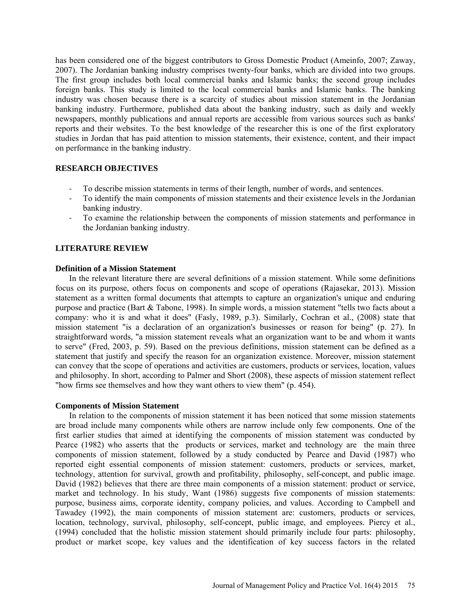has been considered one of the biggest contributors to Gross Domestic Product (Ameinfo, 2007; Zaway, 2007). The Jordanian banking industry comprises twenty-four banks, which are divided into two groups. The first group includes both local commercial banks and Islamic banks; the second group includes foreign banks. This study is limited to the local commercial banks and Islamic banks. The banking industry was chosen because there is a scarcity of studies about mission statement in the Jordanian banking industry. Furthermore, published data about the banking industry, such as daily and weekly newspapers, monthly publications and annual reports are accessible from various sources such as banks' reports and their websites. To the best knowledge of the researcher this is one of the first exploratory studies in Jordan that has paid attention to mission statements, their existence, content, and their impact on performance in the banking industry.

### **RESEARCH OBJECTIVES**

- To describe mission statements in terms of their length, number of words, and sentences.
- To identify the main components of mission statements and their existence levels in the Jordanian banking industry.
- To examine the relationship between the components of mission statements and performance in the Jordanian banking industry.

## **LITERATURE REVIEW**

## **Definition of a Mission Statement**

In the relevant literature there are several definitions of a mission statement. While some definitions focus on its purpose, others focus on components and scope of operations (Rajasekar, 2013). Mission statement as a written formal documents that attempts to capture an organization's unique and enduring purpose and practice (Bart & Tabone, 1998). In simple words, a mission statement "tells two facts about a company: who it is and what it does" (Fasly, 1989, p.3). Similarly, Cochran et al., (2008) state that mission statement "is a declaration of an organization's businesses or reason for being" (p. 27). In straightforward words, "a mission statement reveals what an organization want to be and whom it wants to serve" (Fred, 2003, p. 59). Based on the previous definitions, mission statement can be defined as a statement that justify and specify the reason for an organization existence. Moreover, mission statement can convey that the scope of operations and activities are customers, products or services, location, values and philosophy. In short, according to Palmer and Short (2008), these aspects of mission statement reflect "how firms see themselves and how they want others to view them" (p. 454).

### **Components of Mission Statement**

In relation to the components of mission statement it has been noticed that some mission statements are broad include many components while others are narrow include only few components. One of the first earlier studies that aimed at identifying the components of mission statement was conducted by Pearce (1982) who asserts that the products or services, market and technology are the main three components of mission statement, followed by a study conducted by Pearce and David (1987) who reported eight essential components of mission statement: customers, products or services, market, technology, attention for survival, growth and profitability, philosophy, self-concept, and public image. David (1982) believes that there are three main components of a mission statement: product or service, market and technology. In his study, Want (1986) suggests five components of mission statements: purpose, business aims, corporate identity, company policies, and values. According to Campbell and Tawadey (1992), the main components of mission statement are: customers, products or services, location, technology, survival, philosophy, self-concept, public image, and employees. Piercy et al., (1994) concluded that the holistic mission statement should primarily include four parts: philosophy, product or market scope, key values and the identification of key success factors in the related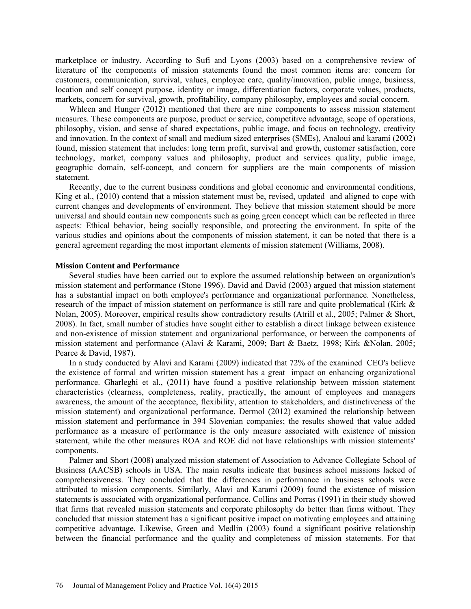marketplace or industry. According to Sufi and Lyons (2003) based on a comprehensive review of literature of the components of mission statements found the most common items are: concern for customers, communication, survival, values, employee care, quality/innovation, public image, business, location and self concept purpose, identity or image, differentiation factors, corporate values, products, markets, concern for survival, growth, profitability, company philosophy, employees and social concern.

Whleen and Hunger (2012) mentioned that there are nine components to assess mission statement measures. These components are purpose, product or service, competitive advantage, scope of operations, philosophy, vision, and sense of shared expectations, public image, and focus on technology, creativity and innovation. In the context of small and medium sized enterprises (SMEs), Analoui and karami (2002) found, mission statement that includes: long term profit, survival and growth, customer satisfaction, core technology, market, company values and philosophy, product and services quality, public image, geographic domain, self-concept, and concern for suppliers are the main components of mission statement.

Recently, due to the current business conditions and global economic and environmental conditions, King et al., (2010) contend that a mission statement must be, revised, updated and aligned to cope with current changes and developments of environment. They believe that mission statement should be more universal and should contain new components such as going green concept which can be reflected in three aspects: Ethical behavior, being socially responsible, and protecting the environment. In spite of the various studies and opinions about the components of mission statement, it can be noted that there is a general agreement regarding the most important elements of mission statement (Williams, 2008).

#### **Mission Content and Performance**

Several studies have been carried out to explore the assumed relationship between an organization's mission statement and performance (Stone 1996). David and David (2003) argued that mission statement has a substantial impact on both employee's performance and organizational performance. Nonetheless, research of the impact of mission statement on performance is still rare and quite problematical (Kirk & Nolan, 2005). Moreover, empirical results show contradictory results (Atrill et al., 2005; Palmer & Short, 2008). In fact, small number of studies have sought either to establish a direct linkage between existence and non-existence of mission statement and organizational performance, or between the components of mission statement and performance (Alavi & Karami, 2009; Bart & Baetz, 1998; Kirk &Nolan, 2005; Pearce & David, 1987).

In a study conducted by Alavi and Karami (2009) indicated that 72% of the examined CEO's believe the existence of formal and written mission statement has a great impact on enhancing organizational performance. Gharleghi et al., (2011) have found a positive relationship between mission statement characteristics (clearness, completeness, reality, practically, the amount of employees and managers awareness, the amount of the acceptance, flexibility, attention to stakeholders, and distinctiveness of the mission statement) and organizational performance. Dermol (2012) examined the relationship between mission statement and performance in 394 Slovenian companies; the results showed that value added performance as a measure of performance is the only measure associated with existence of mission statement, while the other measures ROA and ROE did not have relationships with mission statements' components.

Palmer and Short (2008) analyzed mission statement of Association to Advance Collegiate School of Business (AACSB) schools in USA. The main results indicate that business school missions lacked of comprehensiveness. They concluded that the differences in performance in business schools were attributed to mission components. Similarly, Alavi and Karami (2009) found the existence of mission statements is associated with organizational performance. Collins and Porras (1991) in their study showed that firms that revealed mission statements and corporate philosophy do better than firms without. They concluded that mission statement has a significant positive impact on motivating employees and attaining competitive advantage. Likewise, Green and Medlin (2003) found a significant positive relationship between the financial performance and the quality and completeness of mission statements. For that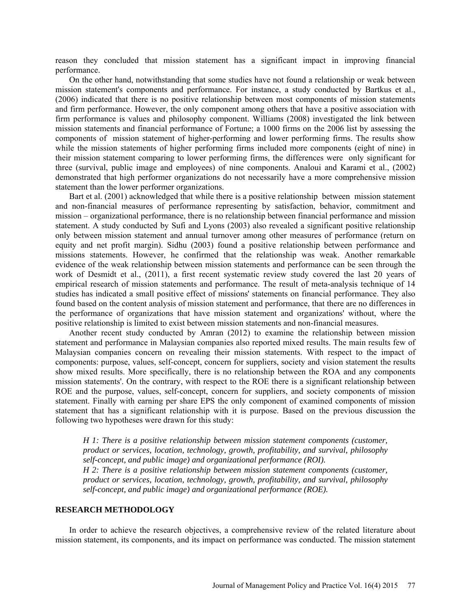reason they concluded that mission statement has a significant impact in improving financial performance.

On the other hand, notwithstanding that some studies have not found a relationship or weak between mission statement's components and performance. For instance, a study conducted by Bartkus et al., (2006) indicated that there is no positive relationship between most components of mission statements and firm performance. However, the only component among others that have a positive association with firm performance is values and philosophy component. Williams (2008) investigated the link between mission statements and financial performance of Fortune; a 1000 firms on the 2006 list by assessing the components of mission statement of higher-performing and lower performing firms. The results show while the mission statements of higher performing firms included more components (eight of nine) in their mission statement comparing to lower performing firms, the differences were only significant for three (survival, public image and employees) of nine components. Analoui and Karami et al., (2002) demonstrated that high performer organizations do not necessarily have a more comprehensive mission statement than the lower performer organizations.

Bart et al. (2001) acknowledged that while there is a positive relationship between mission statement and non-financial measures of performance representing by satisfaction, behavior, commitment and mission – organizational performance, there is no relationship between financial performance and mission statement. A study conducted by Sufi and Lyons (2003) also revealed a significant positive relationship only between mission statement and annual turnover among other measures of performance (return on equity and net profit margin). Sidhu (2003) found a positive relationship between performance and missions statements. However, he confirmed that the relationship was weak. Another remarkable evidence of the weak relationship between mission statements and performance can be seen through the work of Desmidt et al., (2011), a first recent systematic review study covered the last 20 years of empirical research of mission statements and performance. The result of meta-analysis technique of 14 studies has indicated a small positive effect of missions' statements on financial performance. They also found based on the content analysis of mission statement and performance, that there are no differences in the performance of organizations that have mission statement and organizations' without, where the positive relationship is limited to exist between mission statements and non-financial measures.

Another recent study conducted by Amran (2012) to examine the relationship between mission statement and performance in Malaysian companies also reported mixed results. The main results few of Malaysian companies concern on revealing their mission statements. With respect to the impact of components: purpose, values, self-concept, concern for suppliers, society and vision statement the results show mixed results. More specifically, there is no relationship between the ROA and any components mission statements'. On the contrary, with respect to the ROE there is a significant relationship between ROE and the purpose, values, self-concept, concern for suppliers, and society components of mission statement. Finally with earning per share EPS the only component of examined components of mission statement that has a significant relationship with it is purpose. Based on the previous discussion the following two hypotheses were drawn for this study:

*H 1: There is a positive relationship between mission statement components (customer, product or services, location, technology, growth, profitability, and survival, philosophy self-concept, and public image) and organizational performance (ROI).* 

*H 2: There is a positive relationship between mission statement components (customer, product or services, location, technology, growth, profitability, and survival, philosophy self-concept, and public image) and organizational performance (ROE).* 

#### **RESEARCH METHODOLOGY**

In order to achieve the research objectives, a comprehensive review of the related literature about mission statement, its components, and its impact on performance was conducted. The mission statement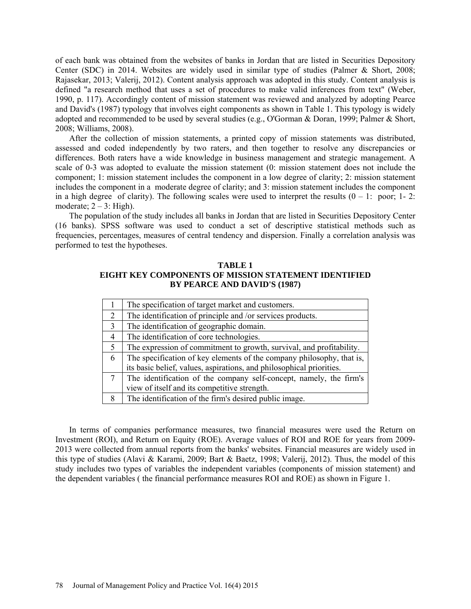of each bank was obtained from the websites of banks in Jordan that are listed in Securities Depository Center (SDC) in 2014. Websites are widely used in similar type of studies (Palmer & Short, 2008; Rajasekar, 2013; Valerij, 2012). Content analysis approach was adopted in this study. Content analysis is defined "a research method that uses a set of procedures to make valid inferences from text" (Weber, 1990, p. 117). Accordingly content of mission statement was reviewed and analyzed by adopting Pearce and David's (1987) typology that involves eight components as shown in Table 1. This typology is widely adopted and recommended to be used by several studies (e.g., O'Gorman & Doran, 1999; Palmer & Short, 2008; Williams, 2008).

After the collection of mission statements, a printed copy of mission statements was distributed, assessed and coded independently by two raters, and then together to resolve any discrepancies or differences. Both raters have a wide knowledge in business management and strategic management. A scale of 0-3 was adopted to evaluate the mission statement (0: mission statement does not include the component; 1: mission statement includes the component in a low degree of clarity; 2: mission statement includes the component in a moderate degree of clarity; and 3: mission statement includes the component in a high degree of clarity). The following scales were used to interpret the results  $(0 - 1$ : poor; 1-2: moderate;  $2 - 3$ : High).

The population of the study includes all banks in Jordan that are listed in Securities Depository Center (16 banks). SPSS software was used to conduct a set of descriptive statistical methods such as frequencies, percentages, measures of central tendency and dispersion. Finally a correlation analysis was performed to test the hypotheses.

## **TABLE 1 EIGHT KEY COMPONENTS OF MISSION STATEMENT IDENTIFIED BY PEARCE AND DAVID'S (1987)**

|                | The specification of target market and customers.                                                                                             |
|----------------|-----------------------------------------------------------------------------------------------------------------------------------------------|
| 2              | The identification of principle and /or services products.                                                                                    |
| $\overline{3}$ | The identification of geographic domain.                                                                                                      |
| 4              | The identification of core technologies.                                                                                                      |
| 5              | The expression of commitment to growth, survival, and profitability.                                                                          |
| 6              | The specification of key elements of the company philosophy, that is,<br>its basic belief, values, aspirations, and philosophical priorities. |
| 7              | The identification of the company self-concept, namely, the firm's<br>view of itself and its competitive strength.                            |
| 8              | The identification of the firm's desired public image.                                                                                        |

In terms of companies performance measures, two financial measures were used the Return on Investment (ROI), and Return on Equity (ROE). Average values of ROI and ROE for years from 2009- 2013 were collected from annual reports from the banks' websites. Financial measures are widely used in this type of studies (Alavi & Karami, 2009; Bart & Baetz, 1998; Valerij, 2012). Thus, the model of this study includes two types of variables the independent variables (components of mission statement) and the dependent variables ( the financial performance measures ROI and ROE) as shown in Figure 1.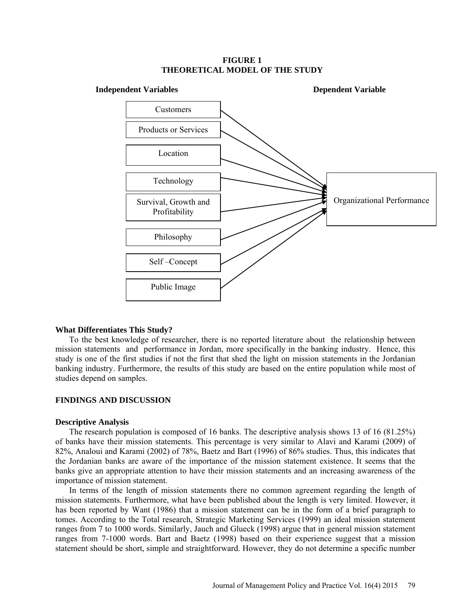### **FIGURE 1 THEORETICAL MODEL OF THE STUDY**



### **What Differentiates This Study?**

To the best knowledge of researcher, there is no reported literature about the relationship between mission statements and performance in Jordan, more specifically in the banking industry. Hence, this study is one of the first studies if not the first that shed the light on mission statements in the Jordanian banking industry. Furthermore, the results of this study are based on the entire population while most of studies depend on samples.

#### **FINDINGS AND DISCUSSION**

#### **Descriptive Analysis**

The research population is composed of 16 banks. The descriptive analysis shows 13 of 16 (81.25%) of banks have their mission statements. This percentage is very similar to Alavi and Karami (2009) of 82%, Analoui and Karami (2002) of 78%, Baetz and Bart (1996) of 86% studies. Thus, this indicates that the Jordanian banks are aware of the importance of the mission statement existence. It seems that the banks give an appropriate attention to have their mission statements and an increasing awareness of the importance of mission statement.

In terms of the length of mission statements there no common agreement regarding the length of mission statements. Furthermore, what have been published about the length is very limited. However, it has been reported by Want (1986) that a mission statement can be in the form of a brief paragraph to tomes. According to the Total research, Strategic Marketing Services (1999) an ideal mission statement ranges from 7 to 1000 words. Similarly, Jauch and Glueck (1998) argue that in general mission statement ranges from 7-1000 words. Bart and Baetz (1998) based on their experience suggest that a mission statement should be short, simple and straightforward. However, they do not determine a specific number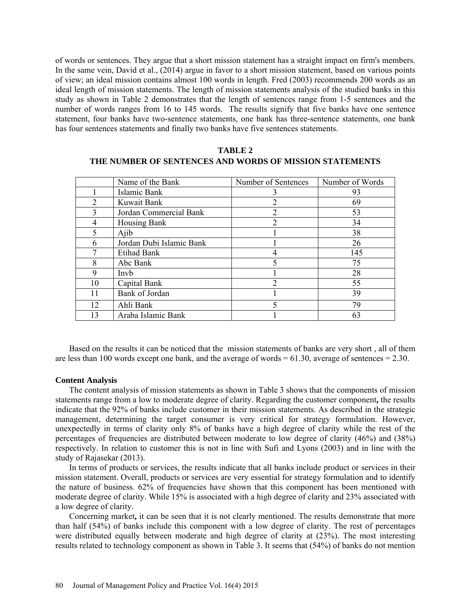of words or sentences. They argue that a short mission statement has a straight impact on firm's members. In the same vein, David et al., (2014) argue in favor to a short mission statement, based on various points of view; an ideal mission contains almost 100 words in length. Fred (2003) recommends 200 words as an ideal length of mission statements. The length of mission statements analysis of the studied banks in this study as shown in Table 2 demonstrates that the length of sentences range from 1-5 sentences and the number of words ranges from 16 to 145 words. The results signify that five banks have one sentence statement, four banks have two-sentence statements, one bank has three-sentence statements, one bank has four sentences statements and finally two banks have five sentences statements.

|                | Name of the Bank         | Number of Sentences         | Number of Words |
|----------------|--------------------------|-----------------------------|-----------------|
|                | Islamic Bank             | 3                           | 93              |
| $\overline{2}$ | Kuwait Bank              | 2                           | 69              |
| 3              | Jordan Commercial Bank   | 2                           | 53              |
| 4              | Housing Bank             | $\overline{2}$              | 34              |
| 5              | Ajib                     |                             | 38              |
| 6              | Jordan Dubi Islamic Bank |                             | 26              |
|                | <b>Etihad Bank</b>       | 4                           | 145             |
| 8              | Abc Bank                 | $\varsigma$                 | 75              |
| 9              | Invb                     |                             | 28              |
| 10             | Capital Bank             | $\mathcal{D}_{\mathcal{L}}$ | 55              |
| 11             | Bank of Jordan           |                             | 39              |
| 12             | Ahli Bank                | 5                           | 79              |
| 13             | Araba Islamic Bank       |                             | 63              |

**TABLE 2 THE NUMBER OF SENTENCES AND WORDS OF MISSION STATEMENTS**

Based on the results it can be noticed that the mission statements of banks are very short , all of them are less than 100 words except one bank, and the average of words  $= 61.30$ , average of sentences  $= 2.30$ .

#### **Content Analysis**

The content analysis of mission statements as shown in Table 3 shows that the components of mission statements range from a low to moderate degree of clarity. Regarding the customer component**,** the results indicate that the 92% of banks include customer in their mission statements. As described in the strategic management, determining the target consumer is very critical for strategy formulation. However, unexpectedly in terms of clarity only 8% of banks have a high degree of clarity while the rest of the percentages of frequencies are distributed between moderate to low degree of clarity (46%) and (38%) respectively. In relation to customer this is not in line with Sufi and Lyons (2003) and in line with the study of Rajasekar (2013).

In terms of products or services, the results indicate that all banks include product or services in their mission statement. Overall, products or services are very essential for strategy formulation and to identify the nature of business. 62% of frequencies have shown that this component has been mentioned with moderate degree of clarity. While  $15\%$  is associated with a high degree of clarity and 23% associated with a low degree of clarity.

Concerning market**,** it can be seen that it is not clearly mentioned. The results demonstrate that more than half (54%) of banks include this component with a low degree of clarity. The rest of percentages were distributed equally between moderate and high degree of clarity at (23%). The most interesting results related to technology component as shown in Table 3. It seems that (54%) of banks do not mention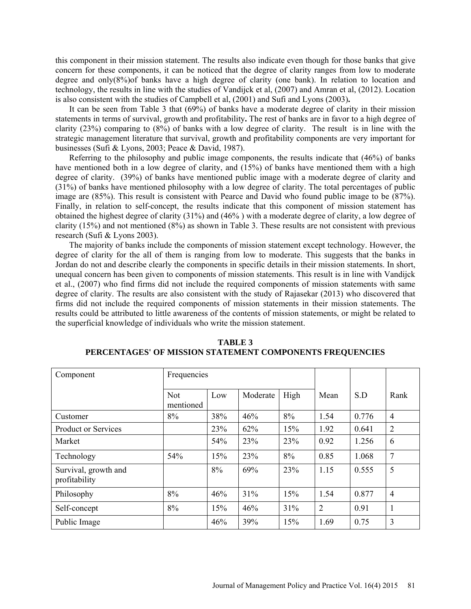this component in their mission statement. The results also indicate even though for those banks that give concern for these components, it can be noticed that the degree of clarity ranges from low to moderate degree and only( $8\%$ ) of banks have a high degree of clarity (one bank). In relation to location and technology, the results in line with the studies of Vandijck et al, (2007) and Amran et al, (2012). Location is also consistent with the studies of Campbell et al, (2001) and Sufi and Lyons (2003)**.** 

It can be seen from Table 3 that (69%) of banks have a moderate degree of clarity in their mission statements in terms of survival, growth and profitability**.** The rest of banks are in favor to a high degree of clarity (23%) comparing to (8%) of banks with a low degree of clarity. The result is in line with the strategic management literature that survival, growth and profitability components are very important for businesses (Sufi & Lyons, 2003; Peace & David, 1987).

Referring to the philosophy and public image components, the results indicate that (46%) of banks have mentioned both in a low degree of clarity, and (15%) of banks have mentioned them with a high degree of clarity. (39%) of banks have mentioned public image with a moderate degree of clarity and (31%) of banks have mentioned philosophy with a low degree of clarity. The total percentages of public image are (85%). This result is consistent with Pearce and David who found public image to be (87%). Finally, in relation to self-concept, the results indicate that this component of mission statement has obtained the highest degree of clarity (31%) and (46% ) with a moderate degree of clarity, a low degree of clarity (15%) and not mentioned (8%) as shown in Table 3. These results are not consistent with previous research (Sufi & Lyons 2003).

The majority of banks include the components of mission statement except technology. However, the degree of clarity for the all of them is ranging from low to moderate. This suggests that the banks in Jordan do not and describe clearly the components in specific details in their mission statements. In short, unequal concern has been given to components of mission statements. This result is in line with Vandijck et al., (2007) who find firms did not include the required components of mission statements with same degree of clarity. The results are also consistent with the study of Rajasekar (2013) who discovered that firms did not include the required components of mission statements in their mission statements. The results could be attributed to little awareness of the contents of mission statements, or might be related to the superficial knowledge of individuals who write the mission statement.

| Component                             | Frequencies             |     |          |      |                |       |                |
|---------------------------------------|-------------------------|-----|----------|------|----------------|-------|----------------|
|                                       | <b>Not</b><br>mentioned | Low | Moderate | High | Mean           | S.D   | Rank           |
| Customer                              | 8%                      | 38% | 46%      | 8%   | 1.54           | 0.776 | $\overline{4}$ |
| <b>Product or Services</b>            |                         | 23% | 62%      | 15%  | 1.92           | 0.641 | 2              |
| Market                                |                         | 54% | 23%      | 23%  | 0.92           | 1.256 | 6              |
| Technology                            | 54%                     | 15% | 23%      | 8%   | 0.85           | 1.068 | 7              |
| Survival, growth and<br>profitability |                         | 8%  | 69%      | 23%  | 1.15           | 0.555 | 5              |
| Philosophy                            | 8%                      | 46% | 31%      | 15%  | 1.54           | 0.877 | $\overline{4}$ |
| Self-concept                          | 8%                      | 15% | 46%      | 31%  | $\overline{2}$ | 0.91  | $\mathbf{1}$   |
| Public Image                          |                         | 46% | 39%      | 15%  | 1.69           | 0.75  | 3              |

**TABLE 3 PERCENTAGES' OF MISSION STATEMENT COMPONENTS FREQUENCIES**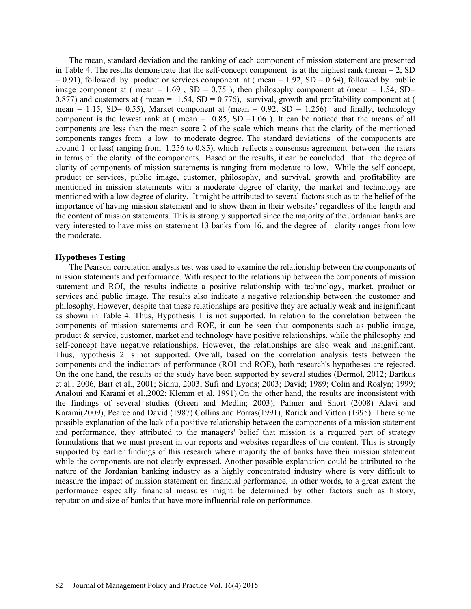The mean, standard deviation and the ranking of each component of mission statement are presented in Table 4. The results demonstrate that the self-concept component is at the highest rank (mean  $= 2$ , SD  $= 0.91$ ), followed by product or services component at ( mean  $= 1.92$ , SD  $= 0.64$ ), followed by public image component at ( mean =  $1.69$  , SD =  $0.75$  ), then philosophy component at (mean =  $1.54$ , SD= 0.877) and customers at ( mean =  $1.54$ , SD = 0.776), survival, growth and profitability component at ( mean = 1.15, SD= 0.55), Market component at (mean = 0.92, SD = 1.256) and finally, technology component is the lowest rank at ( mean =  $0.85$ , SD = 1.06). It can be noticed that the means of all components are less than the mean score 2 of the scale which means that the clarity of the mentioned components ranges from a low to moderate degree. The standard deviations of the components are around 1 or less( ranging from 1.256 to 0.85), which reflects a consensus agreement between the raters in terms of the clarity of the components. Based on the results, it can be concluded that the degree of clarity of components of mission statements is ranging from moderate to low. While the self concept, product or services, public image, customer, philosophy, and survival, growth and profitability are mentioned in mission statements with a moderate degree of clarity, the market and technology are mentioned with a low degree of clarity. It might be attributed to several factors such as to the belief of the importance of having mission statement and to show them in their websites' regardless of the length and the content of mission statements. This is strongly supported since the majority of the Jordanian banks are very interested to have mission statement 13 banks from 16, and the degree of clarity ranges from low the moderate.

### **Hypotheses Testing**

The Pearson correlation analysis test was used to examine the relationship between the components of mission statements and performance. With respect to the relationship between the components of mission statement and ROI, the results indicate a positive relationship with technology, market, product or services and public image. The results also indicate a negative relationship between the customer and philosophy. However, despite that these relationships are positive they are actually weak and insignificant as shown in Table 4. Thus, Hypothesis 1 is not supported. In relation to the correlation between the components of mission statements and ROE, it can be seen that components such as public image, product  $\&$  service, customer, market and technology have positive relationships, while the philosophy and self-concept have negative relationships. However, the relationships are also weak and insignificant. Thus, hypothesis 2 is not supported. Overall, based on the correlation analysis tests between the components and the indicators of performance (ROI and ROE), both research's hypotheses are rejected. On the one hand, the results of the study have been supported by several studies (Dermol, 2012; Bartkus et al., 2006, Bart et al., 2001; Sidhu, 2003; Sufi and Lyons; 2003; David; 1989; Colm and Roslyn; 1999; Analoui and Karami et al.,2002; Klemm et al. 1991).On the other hand, the results are inconsistent with the findings of several studies (Green and Medlin; 2003), Palmer and Short (2008) Alavi and Karami(2009), Pearce and David (1987) Collins and Porras(1991), Rarick and Vitton (1995). There some possible explanation of the lack of a positive relationship between the components of a mission statement and performance, they attributed to the managers' belief that mission is a required part of strategy formulations that we must present in our reports and websites regardless of the content. This is strongly supported by earlier findings of this research where majority the of banks have their mission statement while the components are not clearly expressed. Another possible explanation could be attributed to the nature of the Jordanian banking industry as a highly concentrated industry where is very difficult to measure the impact of mission statement on financial performance, in other words, to a great extent the performance especially financial measures might be determined by other factors such as history, reputation and size of banks that have more influential role on performance.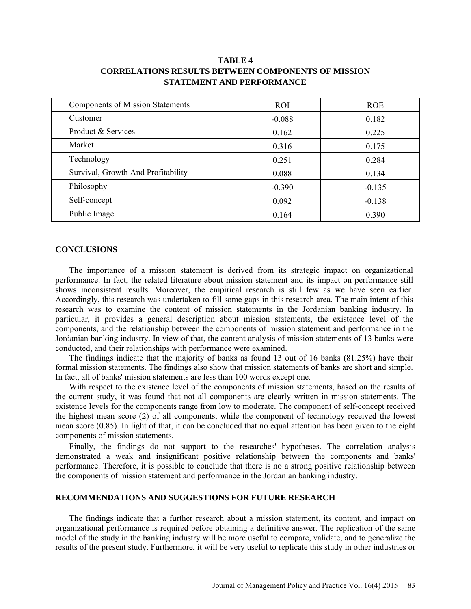| <b>Components of Mission Statements</b> | <b>ROI</b> | <b>ROE</b> |  |
|-----------------------------------------|------------|------------|--|
| Customer                                | $-0.088$   | 0.182      |  |
| Product & Services                      | 0.162      | 0.225      |  |
| Market                                  | 0.316      | 0.175      |  |
| Technology                              | 0.251      | 0.284      |  |
| Survival, Growth And Profitability      | 0.088      | 0.134      |  |
| Philosophy                              | $-0.390$   | $-0.135$   |  |
| Self-concept                            | 0.092      | $-0.138$   |  |
| Public Image                            | 0.164      | 0.390      |  |

## **TABLE 4 CORRELATIONS RESULTS BETWEEN COMPONENTS OF MISSION STATEMENT AND PERFORMANCE**

### **CONCLUSIONS**

The importance of a mission statement is derived from its strategic impact on organizational performance. In fact, the related literature about mission statement and its impact on performance still shows inconsistent results. Moreover, the empirical research is still few as we have seen earlier. Accordingly, this research was undertaken to fill some gaps in this research area. The main intent of this research was to examine the content of mission statements in the Jordanian banking industry. In particular, it provides a general description about mission statements, the existence level of the components, and the relationship between the components of mission statement and performance in the Jordanian banking industry. In view of that, the content analysis of mission statements of 13 banks were conducted, and their relationships with performance were examined.

The findings indicate that the majority of banks as found 13 out of 16 banks (81.25%) have their formal mission statements. The findings also show that mission statements of banks are short and simple. In fact, all of banks' mission statements are less than 100 words except one.

With respect to the existence level of the components of mission statements, based on the results of the current study, it was found that not all components are clearly written in mission statements. The existence levels for the components range from low to moderate. The component of self-concept received the highest mean score (2) of all components, while the component of technology received the lowest mean score (0.85). In light of that, it can be concluded that no equal attention has been given to the eight components of mission statements.

Finally, the findings do not support to the researches' hypotheses. The correlation analysis demonstrated a weak and insignificant positive relationship between the components and banks' performance. Therefore, it is possible to conclude that there is no a strong positive relationship between the components of mission statement and performance in the Jordanian banking industry.

## **RECOMMENDATIONS AND SUGGESTIONS FOR FUTURE RESEARCH**

The findings indicate that a further research about a mission statement, its content, and impact on organizational performance is required before obtaining a definitive answer. The replication of the same model of the study in the banking industry will be more useful to compare, validate, and to generalize the results of the present study. Furthermore, it will be very useful to replicate this study in other industries or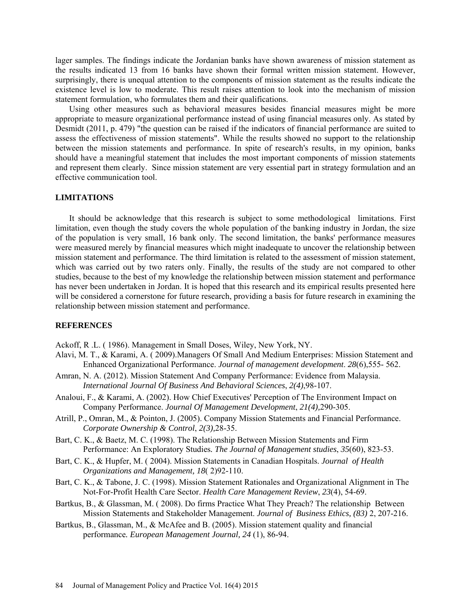lager samples. The findings indicate the Jordanian banks have shown awareness of mission statement as the results indicated 13 from 16 banks have shown their formal written mission statement. However, surprisingly, there is unequal attention to the components of mission statement as the results indicate the existence level is low to moderate. This result raises attention to look into the mechanism of mission statement formulation, who formulates them and their qualifications.

Using other measures such as behavioral measures besides financial measures might be more appropriate to measure organizational performance instead of using financial measures only. As stated by Desmidt (2011, p. 479) "the question can be raised if the indicators of financial performance are suited to assess the effectiveness of mission statements". While the results showed no support to the relationship between the mission statements and performance. In spite of research's results, in my opinion, banks should have a meaningful statement that includes the most important components of mission statements and represent them clearly. Since mission statement are very essential part in strategy formulation and an effective communication tool.

#### **LIMITATIONS**

It should be acknowledge that this research is subject to some methodological limitations. First limitation, even though the study covers the whole population of the banking industry in Jordan, the size of the population is very small, 16 bank only. The second limitation, the banks' performance measures were measured merely by financial measures which might inadequate to uncover the relationship between mission statement and performance. The third limitation is related to the assessment of mission statement, which was carried out by two raters only. Finally, the results of the study are not compared to other studies, because to the best of my knowledge the relationship between mission statement and performance has never been undertaken in Jordan. It is hoped that this research and its empirical results presented here will be considered a cornerstone for future research, providing a basis for future research in examining the relationship between mission statement and performance.

## **REFERENCES**

Ackoff, R .L. ( 1986). Management in Small Doses, Wiley, New York, NY.

- Alavi, M. T., & Karami, A. ( 2009).Managers Of Small And Medium Enterprises: Mission Statement and Enhanced Organizational Performance. *Journal of management development*. *28*(6),555- 562.
- Amran, N. A. (2012). Mission Statement And Company Performance: Evidence from Malaysia. *International Journal Of Business And Behavioral Sciences*, *2(4)*,98-107.
- Analoui, F., & Karami, A. (2002). How Chief Executives' Perception of The Environment Impact on Company Performance. *Journal Of Management Development*, *21(4),*290-305.
- Atrill, P., Omran, M., & Pointon, J. (2005). Company Mission Statements and Financial Performance. *Corporate Ownership & Control*, *2(3),*28-35.
- Bart, C. K., & Baetz, M. C. (1998). The Relationship Between Mission Statements and Firm Performance: An Exploratory Studies*. The Journal of Management studies*, *35*(60), 823-53.
- Bart, C. K., & Hupfer, M. ( 2004). Mission Statements in Canadian Hospitals. *Journal of Health Organizations and Management, 18*( 2)92-110.
- Bart, C. K., & Tabone, J. C. (1998). Mission Statement Rationales and Organizational Alignment in The Not-For-Profit Health Care Sector. *Health Care Management Review*, *23*(4), 54-69.
- Bartkus, B., & Glassman, M. ( 2008). Do firms Practice What They Preach? The relationship Between Mission Statements and Stakeholder Management. *Journal of Business Ethics, (83)* 2, 207-216.
- Bartkus, B., Glassman, M., & McAfee and B. (2005). Mission statement quality and financial performance*. European Management Journal, 24* (1), 86-94.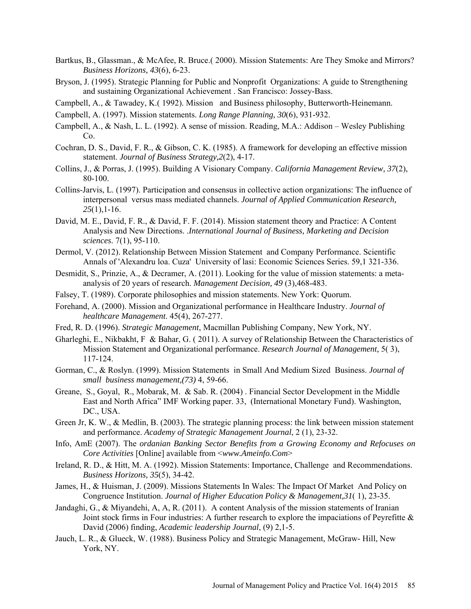- Bartkus, B., Glassman., & McAfee, R. Bruce.( 2000). Mission Statements: Are They Smoke and Mirrors? *Business Horizons, 43*(6), 6-23.
- Bryson, J. (1995). Strategic Planning for Public and Nonprofit Organizations: A guide to Strengthening and sustaining Organizational Achievement . San Francisco: Jossey-Bass.
- Campbell, A., & Tawadey, K.( 1992). Mission and Business philosophy, Butterworth-Heinemann.
- Campbell, A. (1997). Mission statements. *Long Range Planning, 30*(6), 931-932.
- Campbell, A., & Nash, L. L. (1992). A sense of mission. Reading, M.A.: Addison Wesley Publishing  $Co<sub>1</sub>$
- Cochran, D. S., David, F. R., & Gibson, C. K. (1985). A framework for developing an effective mission statement. *Journal of Business Strategy,2*(2), 4-17.
- Collins, J., & Porras, J. (1995). Building A Visionary Company. *California Management Review, 37*(2), 80-100.
- Collins-Jarvis, L. (1997). Participation and consensus in collective action organizations: The influence of interpersonal versus mass mediated channels. *Journal of Applied Communication Research, 25*(1),1-16.
- David, M. E., David, F. R., & David, F. F. (2014). Mission statement theory and Practice: A Content Analysis and New Directions. .*International Journal of Business, Marketing and Decision sciences*. 7(1), 95-110.
- Dermol, V. (2012). Relationship Between Mission Statement and Company Performance. Scientific Annals of 'Alexandru loa. Cuza' University of lasi: Economic Sciences Series. 59,1 321-336.
- Desmidit, S., Prinzie, A., & Decramer, A. (2011). Looking for the value of mission statements: a metaanalysis of 20 years of research. *Management Decision, 49* (3),468-483.
- Falsey, T. (1989). Corporate philosophies and mission statements. New York: Quorum.
- Forehand, A. (2000). Mission and Organizational performance in Healthcare Industry. *Journal of healthcare Management*. 45(4), 267-277.
- Fred, R. D. (1996). *Strategic Management*, Macmillan Publishing Company, New York, NY.
- Gharleghi, E., Nikbakht, F & Bahar, G. ( 2011). A survey of Relationship Between the Characteristics of Mission Statement and Organizational performance. *Research Journal of Management,* 5( 3), 117-124.
- Gorman, C., & Roslyn. (1999). Mission Statements in Small And Medium Sized Business. *Journal of small business management,(73)* 4, 59-66.
- Greane, S., Goyal, R., Mobarak, M. & Sab. R. (2004) . Financial Sector Development in the Middle East and North Africa" IMF Working paper. 33, (International Monetary Fund). Washington, DC., USA.
- Green Jr, K. W., & Medlin, B. (2003). The strategic planning process: the link between mission statement and performance. *Academy of Strategic Management Journal*, 2 (1), 23-32.
- Info, AmE (2007). The *ordanian Banking Sector Benefits from a Growing Economy and Refocuses on Core Activities* [Online] available from <*www.Ameinfo.Com*>
- Ireland, R. D., & Hitt, M. A. (1992). Mission Statements: Importance, Challenge and Recommendations. *Business Horizons, 35*(5), 34-42.
- James, H., & Huisman, J. (2009). Missions Statements In Wales: The Impact Of Market And Policy on Congruence Institution. *Journal of Higher Education Policy & Management,31*( 1), 23-35.
- Jandaghi, G., & Miyandehi, A, A, R. (2011). A content Analysis of the mission statements of Iranian Joint stock firms in Four industries: A further research to explore the impaciations of Peyrefitte  $\&$ David (2006) finding, *Academic leadership Journal*, (9) 2,1-5.
- Jauch, L. R., & Glueck, W. (1988). Business Policy and Strategic Management, McGraw- Hill, New York, NY.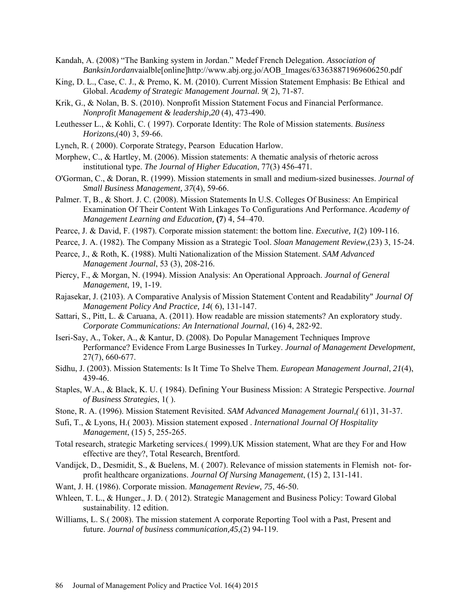- Kandah, A. (2008) "The Banking system in Jordan." Medef French Delegation. *Association of BanksinJordan*vaialble[online[\]http://www.abj.org.jo/AOB\\_Images/633638871969606250.pdf](http://www.abj.org.jo/AOB_Images/633638871969606250.pdf)
- King, D. L., Case, C. J., & Premo, K. M. (2010). Current Mission Statement Emphasis: Be Ethical and Global. *Academy of Strategic Management Journal. 9*( 2), 71-87.
- Krik, G., & Nolan, B. S. (2010). Nonprofit Mission Statement Focus and Financial Performance. *Nonprofit Management & leadership*,*20* (4), 473-490.
- Leuthesser L., & Kohli, C. ( 1997). Corporate Identity: The Role of Mission statements. *Business Horizons*,(40) 3, 59-66.
- Lynch, R. ( 2000). Corporate Strategy, Pearson Education Harlow.
- Morphew, C., & Hartley, M. (2006). Mission statements: A thematic analysis of rhetoric across institutional type. *The Journal of Higher Education*, 77(3) 456-471.
- O'Gorman, C., & Doran, R. (1999). Mission statements in small and medium-sized businesses. *Journal of Small Business Management, 37*(4), 59-66.
- Palmer. T, B., & Short. J. C. (2008). Mission Statements In U.S. Colleges Of Business: An Empirical Examination Of Their Content With Linkages To Configurations And Performance. *Academy of Management Learning and Education,* **(7**) 4, 54–470.
- Pearce, J. & David, F. (1987). Corporate mission statement: the bottom line. *Executive, 1*(2) 109-116.
- Pearce, J. A. (1982). The Company Mission as a Strategic Tool. *Sloan Management Review*,(23) 3, 15-24.
- Pearce, J., & Roth, K. (1988). Multi Nationalization of the Mission Statement. *SAM Advanced Management Journal*, 53 (3), 208-216.
- Piercy, F., & Morgan, N. (1994). Mission Analysis: An Operational Approach. *Journal of General Management*, 19, 1-19.
- Rajasekar, J. (2103). A Comparative Analysis of Mission Statement Content and Readability" *Journal Of Management Policy And Practice, 14*( 6), 131-147.
- Sattari, S., Pitt, L. & Caruana, A. (2011). How readable are mission statements? An exploratory study. *Corporate Communications: An International Journal*, (16) 4, 282‐92.
- Iseri-Say, A., Toker, A., & Kantur, D. (2008). Do Popular Management Techniques Improve Performance? Evidence From Large Businesses In Turkey. *Journal of Management Development*, 27(7), 660-677.
- Sidhu, J. (2003). Mission Statements: Is It Time To Shelve Them. *European Management Journal*, *21*(4), 439-46.
- Staples, W.A., & Black, K. U. ( 1984). Defining Your Business Mission: A Strategic Perspective. *Journal of Business Strategies*, 1( ).
- Stone, R. A. (1996). Mission Statement Revisited. *SAM Advanced Management Journal,(* 61)1, 31-37.
- Sufi, T., & Lyons, H.( 2003). Mission statement exposed . *International Journal Of Hospitality Management*, (15) 5, 255-265.
- Total research, strategic Marketing services.( 1999).UK Mission statement, What are they For and How effective are they?, Total Research, Brentford.
- Vandijck, D., Desmidit, S., & Buelens, M. ( 2007). Relevance of mission statements in Flemish not- forprofit healthcare organizations. *Journal Of Nursing Management*, (15) 2, 131-141.
- Want, J. H. (1986). Corporate mission. *Management Review, 75*, 46-50.
- Whleen, T. L., & Hunger., J. D. ( 2012). Strategic Management and Business Policy: Toward Global sustainability. 12 edition.
- Williams, L. S.( 2008). The mission statement A corporate Reporting Tool with a Past, Present and future. *Journal of business communication,45*,(2) 94-119.